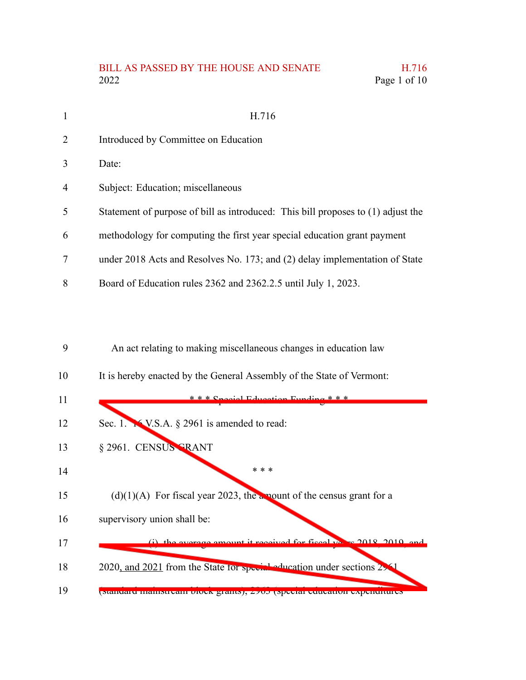## BILL AS PASSED BY THE HOUSE AND SENATE H.716 2022 Page 1 of 10

| $\mathbf{1}$   | H.716                                                                            |
|----------------|----------------------------------------------------------------------------------|
| 2              | Introduced by Committee on Education                                             |
| 3              | Date:                                                                            |
| $\overline{4}$ | Subject: Education; miscellaneous                                                |
| 5              | Statement of purpose of bill as introduced: This bill proposes to (1) adjust the |
| 6              | methodology for computing the first year special education grant payment         |
| 7              | under 2018 Acts and Resolves No. 173; and (2) delay implementation of State      |
| 8              | Board of Education rules 2362 and 2362.2.5 until July 1, 2023.                   |

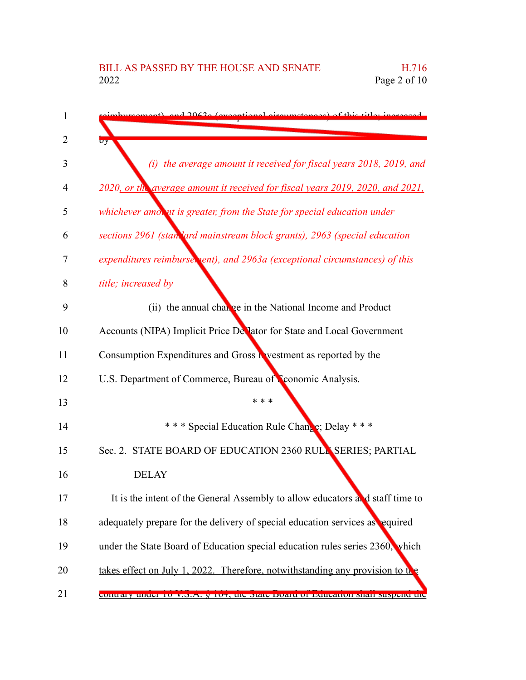| mont) and 2062a (avecational circumstances) of this title; increased           |
|--------------------------------------------------------------------------------|
| $\sigma$ y                                                                     |
| (i) the average amount it received for fiscal years 2018, 2019, and            |
| 2020, or the average amount it received for fiscal years 2019, 2020, and 2021, |
| whichever amon ut is greater, from the State for special education under       |
| sections 2961 (standard mainstream block grants), 2963 (special education      |
| expenditures reimburse, ent), and 2963a (exceptional circumstances) of this    |
| title; increased by                                                            |
| (ii) the annual change in the National Income and Product                      |
| Accounts (NIPA) Implicit Price De lator for State and Local Government         |
| Consumption Expenditures and Gross R vestment as reported by the               |
| U.S. Department of Commerce, Bureau of Conomic Analysis.                       |
| * * *                                                                          |
| *** Special Education Rule Change; Delay ***                                   |
| Sec. 2. STATE BOARD OF EDUCATION 2360 RULL SERIES; PARTIAL                     |
| <b>DELAY</b>                                                                   |
| It is the intent of the General Assembly to allow educators and staff time to  |
| adequately prepare for the delivery of special education services as equired   |
| under the State Board of Education special education rules series 2360, which  |
| takes effect on July 1, 2022. Therefore, notwithstanding any provision to the  |
| contrary under 10 v.o.A. y 104, the state board or Education shall suspend the |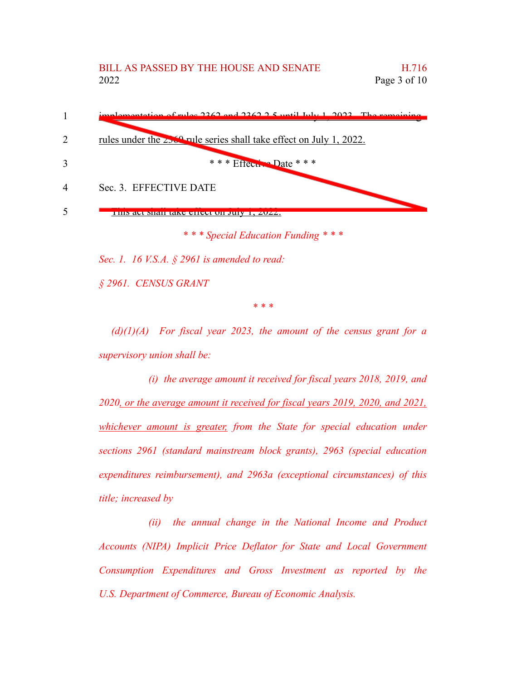

*Sec. 1. 16 V.S.A. § 2961 is amended to read:*

*§ 2961. CENSUS GRANT*

*\* \* \**

*(d)(1)(A) For fiscal year 2023, the amount of the census grant for a supervisory union shall be:*

*(i) the average amount it received for fiscal years 2018, 2019, and 2020, or the average amount it received for fiscal years 2019, 2020, and 2021, whichever amount is greater, from the State for special education under sections 2961 (standard mainstream block grants), 2963 (special education expenditures reimbursement), and 2963a (exceptional circumstances) of this title; increased by*

*(ii) the annual change in the National Income and Product Accounts (NIPA) Implicit Price Deflator for State and Local Government Consumption Expenditures and Gross Investment as reported by the U.S. Department of Commerce, Bureau of Economic Analysis.*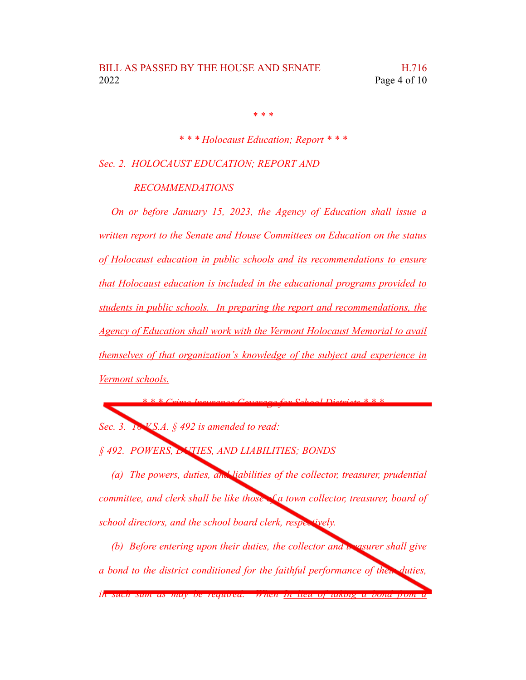*\* \* \**

*\* \* \* Holocaust Education; Report \* \* \**

*Sec. 2. HOLOCAUST EDUCATION; REPORT AND*

*RECOMMENDATIONS*

*On or before January 15, 2023, the Agency of Education shall issue a written report to the Senate and House Committees on Education on the status of Holocaust education in public schools and its recommendations to ensure that Holocaust education is included in the educational programs provided to students in public schools. In preparing the report and recommendations, the Agency of Education shall work with the Vermont Holocaust Memorial to avail themselves of that organization's knowledge of the subject and experience in Vermont schools.*

*Sec. 3. 16 V.S.A. § 492 is amended to read:*

*§ 492. POWERS, DUTIES, AND LIABILITIES; BONDS*

*(a) The powers, duties, and liabilities of the collector, treasurer, prudential committee, and clerk shall be like those of a town collector, treasurer, board of school directors, and the school board clerk, respectively.*

*\* \* \* Crime Insurance Coverage for School Districts \* \* \**

*(b) Before entering upon their duties, the collector and treasurer shall give a bond to the district conditioned for the faithful performance of their duties, in such sum as may be required. When In lieu of taking a bond from a*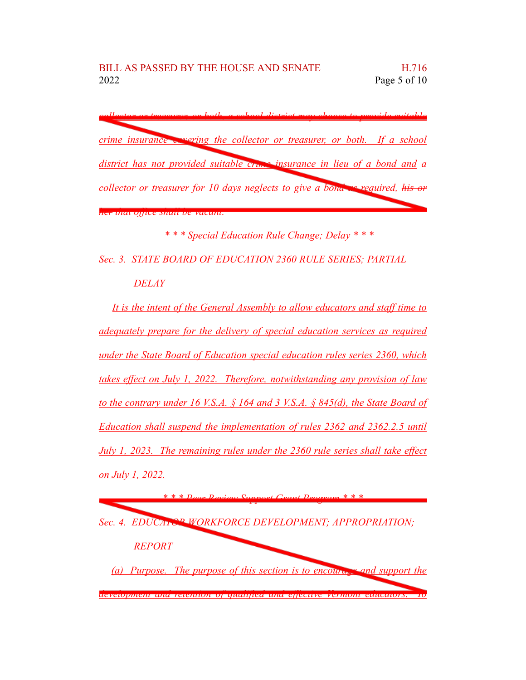*collector or treasurer, or both, a school district may choose to provide suitable crime insurance covering the collector or treasurer, or both. If a school district has not provided suitable crime insurance in lieu of a bond and a collector or treasurer for 10 days neglects to give a bond as required, his or her that office shall be vacant.*

*\* \* \* Special Education Rule Change; Delay \* \* \**

*Sec. 3. STATE BOARD OF EDUCATION 2360 RULE SERIES; PARTIAL DELAY*

*It is the intent of the General Assembly to allow educators and staff time to adequately prepare for the delivery of special education services as required under the State Board of Education special education rules series 2360, which takes effect on July 1, 2022. Therefore, notwithstanding any provision of law to the contrary under 16 V.S.A. § 164 and 3 V.S.A. § 845(d), the State Board of Education shall suspend the implementation of rules 2362 and 2362.2.5 until July 1, 2023. The remaining rules under the 2360 rule series shall take effect on July 1, 2022.*

*\* \* \* Peer Review Support Grant Program \* \* \* Sec. 4. EDUCATOR WORKFORCE DEVELOPMENT; APPROPRIATION; REPORT (a) Purpose. The purpose of this section is to encourage and support the development and retention of qualified and effective Vermont educators. To*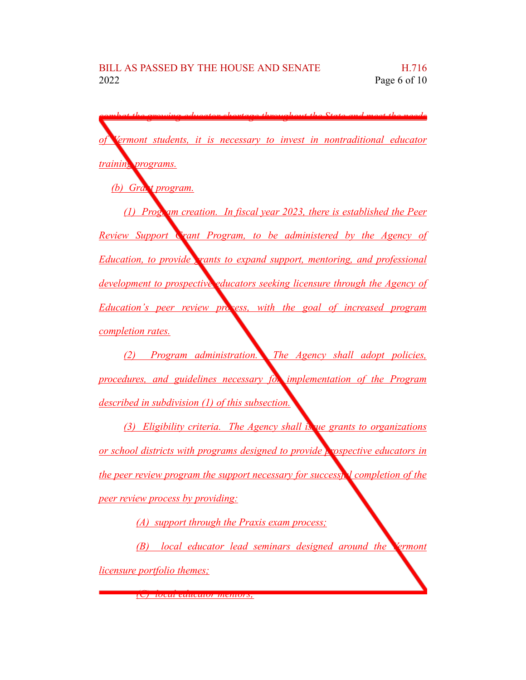*combat the growing educator shortage throughout the State and meet the needs of Vermont students, it is necessary to invest in nontraditional educator training programs.*

*(b) Grant program.*

*(1) Program creation. In fiscal year 2023, there is established the Peer Review Support Grant Program, to be administered by the Agency of Education, to provide grants to expand support, mentoring, and professional development to prospective educators seeking licensure through the Agency of Education's peer review process, with the goal of increased program completion rates.*

*(2) Program administration. The Agency shall adopt policies, procedures, and guidelines necessary for implementation of the Program described in subdivision (1) of this subsection.*

*(3) Eligibility criteria. The Agency shall issue grants to organizations or school districts with programs designed to provide prospective educators in the peer review program the support necessary for successful completion of the peer review process by providing:*

*(A) support through the Praxis exam process;*

*(B) local educator lead seminars designed around the Vermont licensure portfolio themes;*

*(C) local educator mentors;*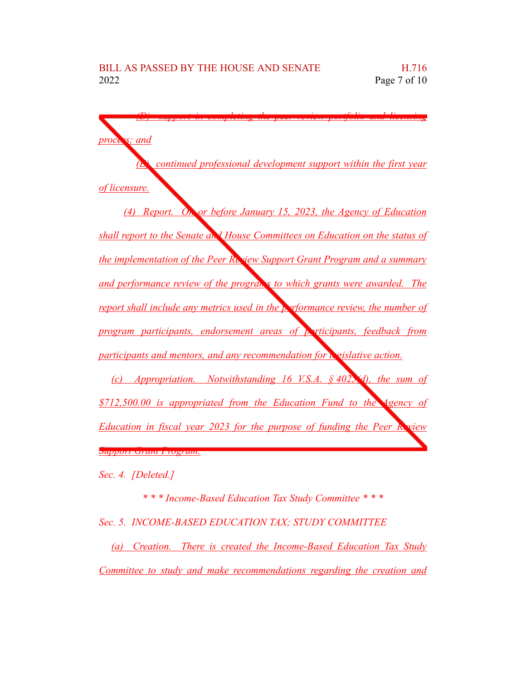

*Sec. 4. [Deleted.]*

*\* \* \* Income-Based Education Tax Study Committee \* \* \* Sec. 5. INCOME-BASED EDUCATION TAX; STUDY COMMITTEE (a) Creation. There is created the Income-Based Education Tax Study*

*Committee to study and make recommendations regarding the creation and*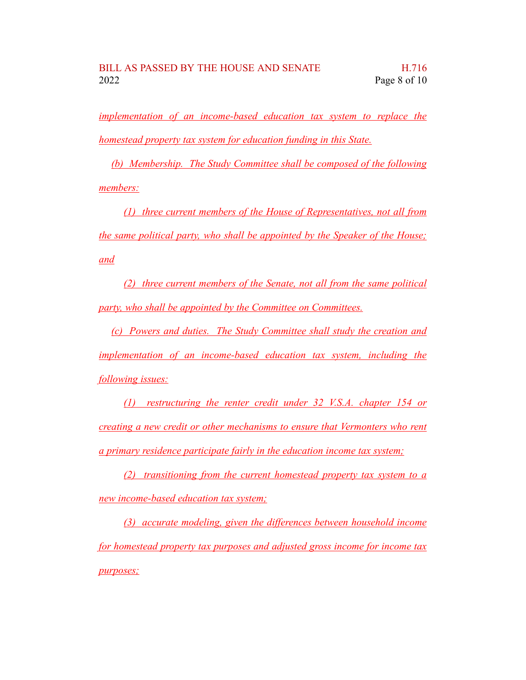*implementation of an income-based education tax system to replace the homestead property tax system for education funding in this State.*

*(b) Membership. The Study Committee shall be composed of the following members:*

*(1) three current members of the House of Representatives, not all from the same political party, who shall be appointed by the Speaker of the House; and*

*(2) three current members of the Senate, not all from the same political party, who shall be appointed by the Committee on Committees.*

*(c) Powers and duties. The Study Committee shall study the creation and implementation of an income-based education tax system, including the following issues:*

*(1) restructuring the renter credit under 32 V.S.A. chapter 154 or creating a new credit or other mechanisms to ensure that Vermonters who rent a primary residence participate fairly in the education income tax system;*

*(2) transitioning from the current homestead property tax system to a new income-based education tax system;*

*(3) accurate modeling, given the differences between household income for homestead property tax purposes and adjusted gross income for income tax purposes;*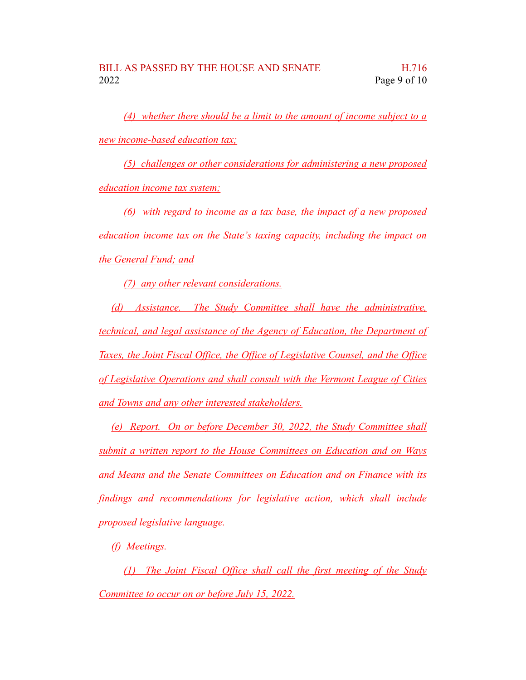*(4) whether there should be a limit to the amount of income subject to a new income-based education tax;*

*(5) challenges or other considerations for administering a new proposed education income tax system;*

*(6) with regard to income as a tax base, the impact of a new proposed education income tax on the State's taxing capacity, including the impact on the General Fund; and*

*(7) any other relevant considerations.*

*(d) Assistance. The Study Committee shall have the administrative, technical, and legal assistance of the Agency of Education, the Department of Taxes, the Joint Fiscal Office, the Office of Legislative Counsel, and the Office of Legislative Operations and shall consult with the Vermont League of Cities and Towns and any other interested stakeholders.*

*(e) Report. On or before December 30, 2022, the Study Committee shall submit a written report to the House Committees on Education and on Ways and Means and the Senate Committees on Education and on Finance with its findings and recommendations for legislative action, which shall include proposed legislative language.*

*(f) Meetings.*

*(1) The Joint Fiscal Office shall call the first meeting of the Study Committee to occur on or before July 15, 2022.*